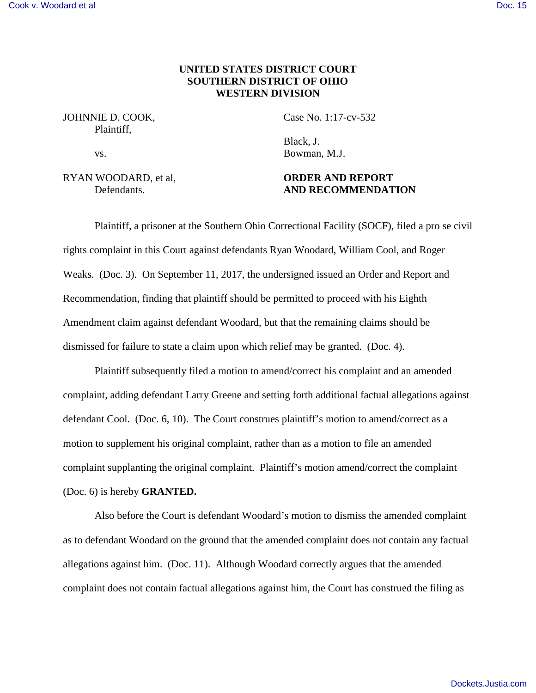# **UNITED STATES DISTRICT COURT SOUTHERN DISTRICT OF OHIO WESTERN DIVISION**

### JOHNNIE D. COOK, Case No. 1:17-cv-532 Plaintiff,

RYAN WOODARD, et al, **ORDER AND REPORT**

Black, J. vs. Bowman, M.J.

# Defendants. **AND RECOMMENDATION**

Plaintiff, a prisoner at the Southern Ohio Correctional Facility (SOCF), filed a pro se civil rights complaint in this Court against defendants Ryan Woodard, William Cool, and Roger Weaks. (Doc. 3). On September 11, 2017, the undersigned issued an Order and Report and Recommendation, finding that plaintiff should be permitted to proceed with his Eighth Amendment claim against defendant Woodard, but that the remaining claims should be dismissed for failure to state a claim upon which relief may be granted. (Doc. 4).

Plaintiff subsequently filed a motion to amend/correct his complaint and an amended complaint, adding defendant Larry Greene and setting forth additional factual allegations against defendant Cool. (Doc. 6, 10). The Court construes plaintiff's motion to amend/correct as a motion to supplement his original complaint, rather than as a motion to file an amended complaint supplanting the original complaint. Plaintiff's motion amend/correct the complaint (Doc. 6) is hereby **GRANTED.**

Also before the Court is defendant Woodard's motion to dismiss the amended complaint as to defendant Woodard on the ground that the amended complaint does not contain any factual allegations against him. (Doc. 11). Although Woodard correctly argues that the amended complaint does not contain factual allegations against him, the Court has construed the filing as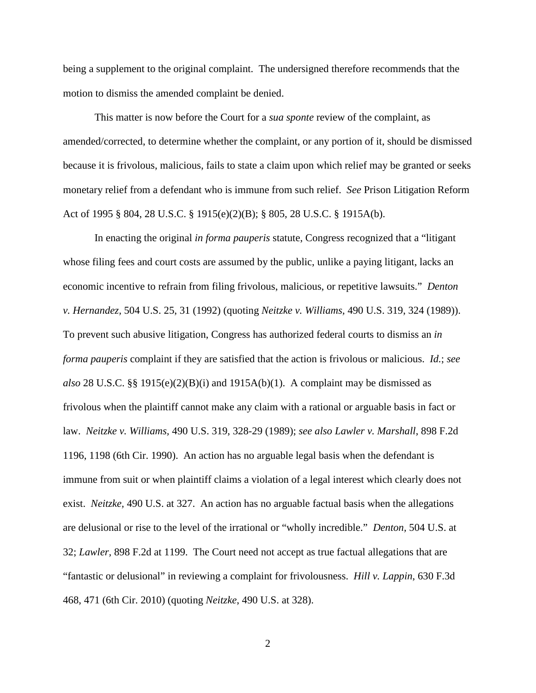being a supplement to the original complaint. The undersigned therefore recommends that the motion to dismiss the amended complaint be denied.

This matter is now before the Court for a *sua sponte* review of the complaint, as amended/corrected, to determine whether the complaint, or any portion of it, should be dismissed because it is frivolous, malicious, fails to state a claim upon which relief may be granted or seeks monetary relief from a defendant who is immune from such relief. *See* Prison Litigation Reform Act of 1995 § 804, 28 U.S.C. § 1915(e)(2)(B); § 805, 28 U.S.C. § 1915A(b).

In enacting the original *in forma pauperis* statute, Congress recognized that a "litigant whose filing fees and court costs are assumed by the public, unlike a paying litigant, lacks an economic incentive to refrain from filing frivolous, malicious, or repetitive lawsuits." *Denton v. Hernandez,* 504 U.S. 25, 31 (1992) (quoting *Neitzke v. Williams,* 490 U.S. 319, 324 (1989)). To prevent such abusive litigation, Congress has authorized federal courts to dismiss an *in forma pauperis* complaint if they are satisfied that the action is frivolous or malicious. *Id.*; *see also* 28 U.S.C. §§ 1915(e)(2)(B)(i) and 1915A(b)(1). A complaint may be dismissed as frivolous when the plaintiff cannot make any claim with a rational or arguable basis in fact or law. *Neitzke v. Williams,* 490 U.S. 319, 328-29 (1989); *see also Lawler v. Marshall*, 898 F.2d 1196, 1198 (6th Cir. 1990). An action has no arguable legal basis when the defendant is immune from suit or when plaintiff claims a violation of a legal interest which clearly does not exist. *Neitzke,* 490 U.S. at 327. An action has no arguable factual basis when the allegations are delusional or rise to the level of the irrational or "wholly incredible." *Denton,* 504 U.S. at 32; *Lawler,* 898 F.2d at 1199. The Court need not accept as true factual allegations that are "fantastic or delusional" in reviewing a complaint for frivolousness. *Hill v. Lappin*, 630 F.3d 468, 471 (6th Cir. 2010) (quoting *Neitzke*, 490 U.S. at 328).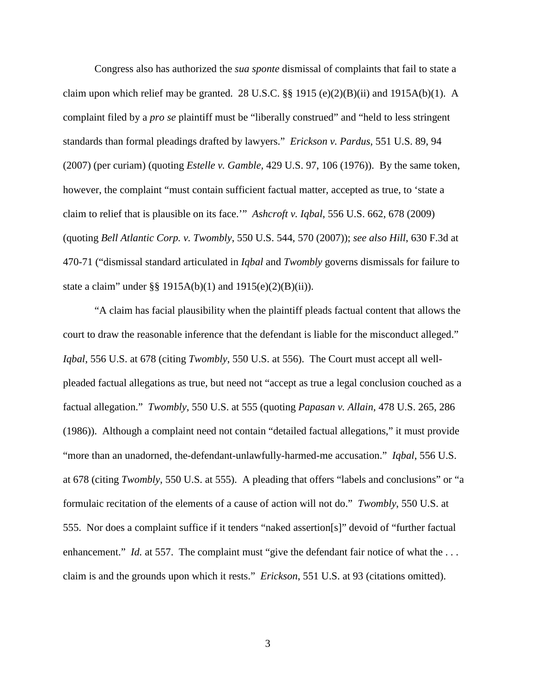Congress also has authorized the *sua sponte* dismissal of complaints that fail to state a claim upon which relief may be granted. 28 U.S.C.  $\S$ § 1915 (e)(2)(B)(ii) and 1915A(b)(1). A complaint filed by a *pro se* plaintiff must be "liberally construed" and "held to less stringent standards than formal pleadings drafted by lawyers." *Erickson v. Pardus*, 551 U.S. 89, 94 (2007) (per curiam) (quoting *Estelle v. Gamble,* 429 U.S. 97, 106 (1976)). By the same token, however, the complaint "must contain sufficient factual matter, accepted as true, to 'state a claim to relief that is plausible on its face.'" *Ashcroft v. Iqbal*, 556 U.S. 662, 678 (2009) (quoting *Bell Atlantic Corp. v. Twombly*, 550 U.S. 544, 570 (2007)); *see also Hill*, 630 F.3d at 470-71 ("dismissal standard articulated in *Iqbal* and *Twombly* governs dismissals for failure to state a claim" under §§ 1915A(b)(1) and 1915(e)(2)(B)(ii)).

"A claim has facial plausibility when the plaintiff pleads factual content that allows the court to draw the reasonable inference that the defendant is liable for the misconduct alleged." *Iqbal*, 556 U.S. at 678 (citing *Twombly*, 550 U.S. at 556). The Court must accept all wellpleaded factual allegations as true, but need not "accept as true a legal conclusion couched as a factual allegation." *Twombly*, 550 U.S. at 555 (quoting *Papasan v. Allain*, 478 U.S. 265, 286 (1986)). Although a complaint need not contain "detailed factual allegations," it must provide "more than an unadorned, the-defendant-unlawfully-harmed-me accusation." *Iqbal*, 556 U.S. at 678 (citing *Twombly*, 550 U.S. at 555). A pleading that offers "labels and conclusions" or "a formulaic recitation of the elements of a cause of action will not do." *Twombly*, 550 U.S. at 555. Nor does a complaint suffice if it tenders "naked assertion[s]" devoid of "further factual enhancement." *Id.* at 557. The complaint must "give the defendant fair notice of what the ... claim is and the grounds upon which it rests." *Erickson*, 551 U.S. at 93 (citations omitted).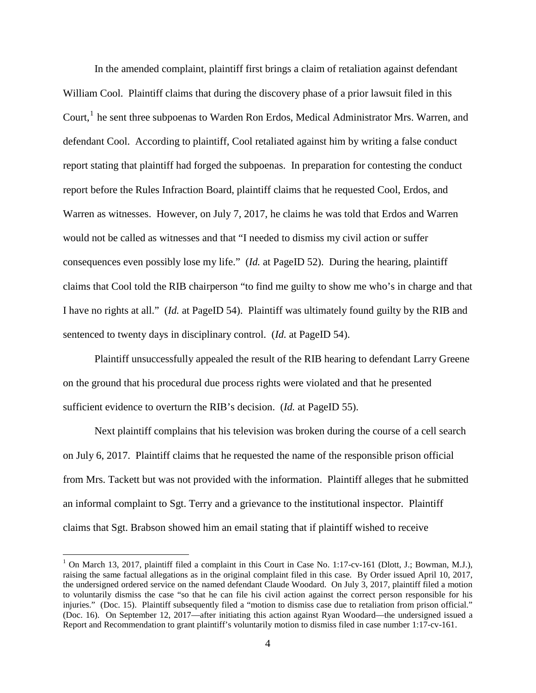In the amended complaint, plaintiff first brings a claim of retaliation against defendant William Cool. Plaintiff claims that during the discovery phase of a prior lawsuit filed in this Court,<sup>1</sup> he sent three subpoenas to Warden Ron Erdos, Medical Administrator Mrs. Warren, and defendant Cool. According to plaintiff, Cool retaliated against him by writing a false conduct report stating that plaintiff had forged the subpoenas. In preparation for contesting the conduct report before the Rules Infraction Board, plaintiff claims that he requested Cool, Erdos, and Warren as witnesses. However, on July 7, 2017, he claims he was told that Erdos and Warren would not be called as witnesses and that "I needed to dismiss my civil action or suffer consequences even possibly lose my life." (*Id.* at PageID 52). During the hearing, plaintiff claims that Cool told the RIB chairperson "to find me guilty to show me who's in charge and that I have no rights at all." (*Id.* at PageID 54). Plaintiff was ultimately found guilty by the RIB and sentenced to twenty days in disciplinary control. (*Id.* at PageID 54).

Plaintiff unsuccessfully appealed the result of the RIB hearing to defendant Larry Greene on the ground that his procedural due process rights were violated and that he presented sufficient evidence to overturn the RIB's decision. (*Id.* at PageID 55).

Next plaintiff complains that his television was broken during the course of a cell search on July 6, 2017. Plaintiff claims that he requested the name of the responsible prison official from Mrs. Tackett but was not provided with the information. Plaintiff alleges that he submitted an informal complaint to Sgt. Terry and a grievance to the institutional inspector. Plaintiff claims that Sgt. Brabson showed him an email stating that if plaintiff wished to receive

 $\overline{a}$ 

<span id="page-3-0"></span><sup>&</sup>lt;sup>1</sup> On March 13, 2017, plaintiff filed a complaint in this Court in Case No. 1:17-cv-161 (Dlott, J.; Bowman, M.J.), raising the same factual allegations as in the original complaint filed in this case. By Order issued April 10, 2017, the undersigned ordered service on the named defendant Claude Woodard. On July 3, 2017, plaintiff filed a motion to voluntarily dismiss the case "so that he can file his civil action against the correct person responsible for his injuries." (Doc. 15). Plaintiff subsequently filed a "motion to dismiss case due to retaliation from prison official." (Doc. 16). On September 12, 2017—after initiating this action against Ryan Woodard—the undersigned issued a Report and Recommendation to grant plaintiff's voluntarily motion to dismiss filed in case number 1:17-cv-161.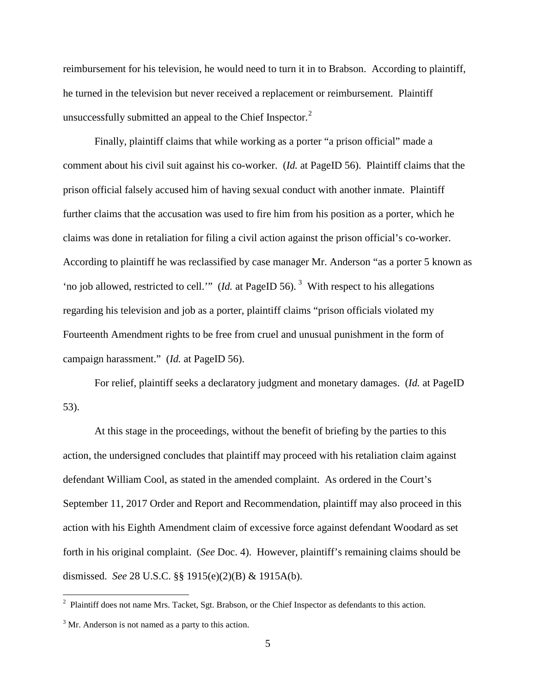reimbursement for his television, he would need to turn it in to Brabson. According to plaintiff, he turned in the television but never received a replacement or reimbursement. Plaintiff unsuccessfully submitted an appeal to the Chief Inspector. $2^2$  $2^2$ 

Finally, plaintiff claims that while working as a porter "a prison official" made a comment about his civil suit against his co-worker. (*Id.* at PageID 56). Plaintiff claims that the prison official falsely accused him of having sexual conduct with another inmate. Plaintiff further claims that the accusation was used to fire him from his position as a porter, which he claims was done in retaliation for filing a civil action against the prison official's co-worker. According to plaintiff he was reclassified by case manager Mr. Anderson "as a porter 5 known as 'no job allowed, restricted to cell.'" (*Id.* at PageID 56).<sup>[3](#page-4-1)</sup> With respect to his allegations regarding his television and job as a porter, plaintiff claims "prison officials violated my Fourteenth Amendment rights to be free from cruel and unusual punishment in the form of campaign harassment." (*Id.* at PageID 56).

For relief, plaintiff seeks a declaratory judgment and monetary damages. (*Id.* at PageID 53).

At this stage in the proceedings, without the benefit of briefing by the parties to this action, the undersigned concludes that plaintiff may proceed with his retaliation claim against defendant William Cool, as stated in the amended complaint. As ordered in the Court's September 11, 2017 Order and Report and Recommendation, plaintiff may also proceed in this action with his Eighth Amendment claim of excessive force against defendant Woodard as set forth in his original complaint. (*See* Doc. 4). However, plaintiff's remaining claims should be dismissed. *See* 28 U.S.C. §§ 1915(e)(2)(B) & 1915A(b).

<span id="page-4-0"></span><sup>&</sup>lt;sup>2</sup> Plaintiff does not name Mrs. Tacket, Sgt. Brabson, or the Chief Inspector as defendants to this action.

<span id="page-4-1"></span> $3$  Mr. Anderson is not named as a party to this action.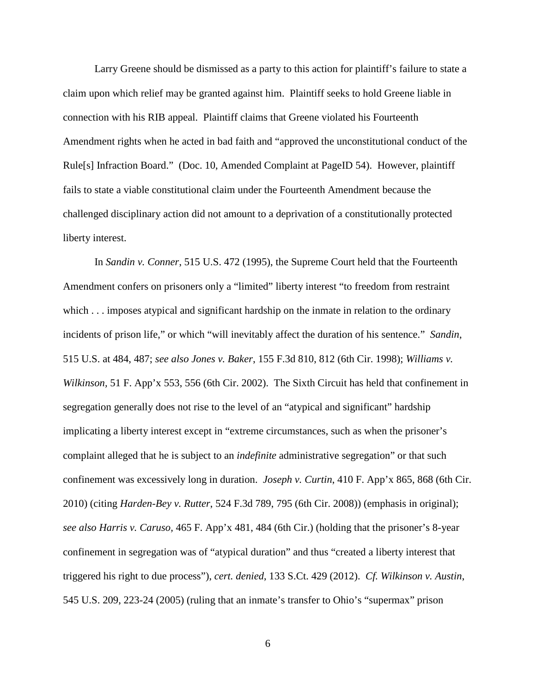Larry Greene should be dismissed as a party to this action for plaintiff's failure to state a claim upon which relief may be granted against him. Plaintiff seeks to hold Greene liable in connection with his RIB appeal. Plaintiff claims that Greene violated his Fourteenth Amendment rights when he acted in bad faith and "approved the unconstitutional conduct of the Rule[s] Infraction Board." (Doc. 10, Amended Complaint at PageID 54). However, plaintiff fails to state a viable constitutional claim under the Fourteenth Amendment because the challenged disciplinary action did not amount to a deprivation of a constitutionally protected liberty interest.

In *Sandin v. Conner*, 515 U.S. 472 (1995), the Supreme Court held that the Fourteenth Amendment confers on prisoners only a "limited" liberty interest "to freedom from restraint which . . . imposes atypical and significant hardship on the inmate in relation to the ordinary incidents of prison life," or which "will inevitably affect the duration of his sentence." *Sandin*, 515 U.S. at 484, 487; *see also Jones v. Baker*, 155 F.3d 810, 812 (6th Cir. 1998); *Williams v. Wilkinson,* 51 F. App'x 553, 556 (6th Cir. 2002). The Sixth Circuit has held that confinement in segregation generally does not rise to the level of an "atypical and significant" hardship implicating a liberty interest except in "extreme circumstances, such as when the prisoner's complaint alleged that he is subject to an *indefinite* administrative segregation" or that such confinement was excessively long in duration. *Joseph v. Curtin*, 410 F. App'x 865, 868 (6th Cir. 2010) (citing *Harden-Bey v. Rutter*, 524 F.3d 789, 795 (6th Cir. 2008)) (emphasis in original); *see also Harris v. Caruso,* 465 F. App'x 481, 484 (6th Cir.) (holding that the prisoner's 8-year confinement in segregation was of "atypical duration" and thus "created a liberty interest that triggered his right to due process"), *cert. denied*, 133 S.Ct. 429 (2012). *Cf. Wilkinson v. Austin*, 545 U.S. 209, 223-24 (2005) (ruling that an inmate's transfer to Ohio's "supermax" prison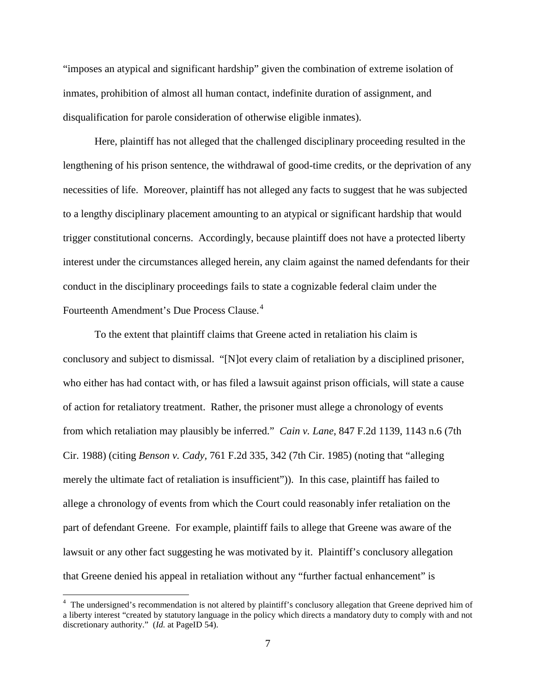"imposes an atypical and significant hardship" given the combination of extreme isolation of inmates, prohibition of almost all human contact, indefinite duration of assignment, and disqualification for parole consideration of otherwise eligible inmates).

Here, plaintiff has not alleged that the challenged disciplinary proceeding resulted in the lengthening of his prison sentence, the withdrawal of good-time credits, or the deprivation of any necessities of life. Moreover, plaintiff has not alleged any facts to suggest that he was subjected to a lengthy disciplinary placement amounting to an atypical or significant hardship that would trigger constitutional concerns. Accordingly, because plaintiff does not have a protected liberty interest under the circumstances alleged herein, any claim against the named defendants for their conduct in the disciplinary proceedings fails to state a cognizable federal claim under the Fourteenth Amendment's Due Process Clause.<sup>[4](#page-6-0)</sup>

To the extent that plaintiff claims that Greene acted in retaliation his claim is conclusory and subject to dismissal. "[N]ot every claim of retaliation by a disciplined prisoner, who either has had contact with, or has filed a lawsuit against prison officials, will state a cause of action for retaliatory treatment. Rather, the prisoner must allege a chronology of events from which retaliation may plausibly be inferred." *Cain v. Lane*, 847 F.2d 1139, 1143 n.6 (7th Cir. 1988) (citing *Benson v. Cady,* 761 F.2d 335, 342 (7th Cir. 1985) (noting that "alleging merely the ultimate fact of retaliation is insufficient")). In this case, plaintiff has failed to allege a chronology of events from which the Court could reasonably infer retaliation on the part of defendant Greene. For example, plaintiff fails to allege that Greene was aware of the lawsuit or any other fact suggesting he was motivated by it. Plaintiff's conclusory allegation that Greene denied his appeal in retaliation without any "further factual enhancement" is

<span id="page-6-0"></span><sup>&</sup>lt;sup>4</sup> The undersigned's recommendation is not altered by plaintiff's conclusory allegation that Greene deprived him of a liberty interest "created by statutory language in the policy which directs a mandatory duty to comply with and not discretionary authority." (*Id.* at PageID 54).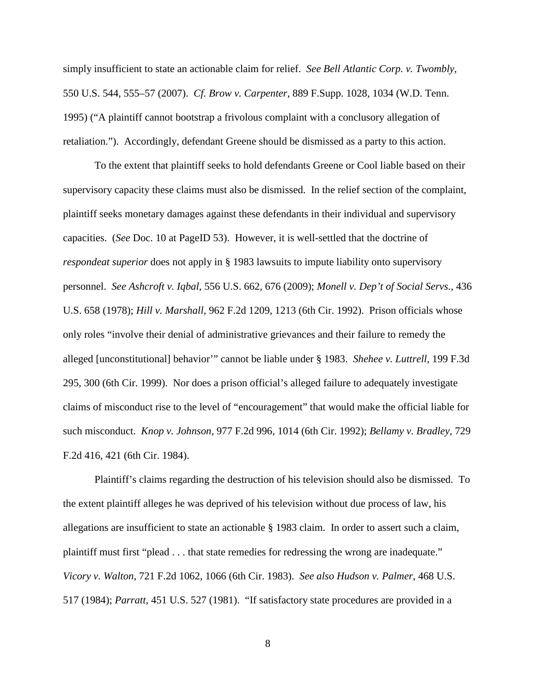simply insufficient to state an actionable claim for relief. *See Bell Atlantic Corp. v. Twombly*, 550 U.S. 544, 555–57 (2007). *Cf. Brow v. Carpenter*, 889 F.Supp. 1028, 1034 (W.D. Tenn. 1995) ("A plaintiff cannot bootstrap a frivolous complaint with a conclusory allegation of retaliation."). Accordingly, defendant Greene should be dismissed as a party to this action.

 To the extent that plaintiff seeks to hold defendants Greene or Cool liable based on their supervisory capacity these claims must also be dismissed. In the relief section of the complaint, plaintiff seeks monetary damages against these defendants in their individual and supervisory capacities. (*See* Doc. 10 at PageID 53). However, it is well-settled that the doctrine of *respondeat superior* does not apply in § 1983 lawsuits to impute liability onto supervisory personnel. *See Ashcroft v. Iqbal*, 556 U.S. 662, 676 (2009); *Monell v. Dep't of Social Servs.,* 436 U.S. 658 (1978); *Hill v. Marshall,* 962 F.2d 1209, 1213 (6th Cir. 1992). Prison officials whose only roles "involve their denial of administrative grievances and their failure to remedy the alleged [unconstitutional] behavior'" cannot be liable under § 1983. *Shehee v. Luttrell*, 199 F.3d 295, 300 (6th Cir. 1999). Nor does a prison official's alleged failure to adequately investigate claims of misconduct rise to the level of "encouragement" that would make the official liable for such misconduct. *Knop v. Johnson,* 977 F.2d 996, 1014 (6th Cir. 1992); *Bellamy v. Bradley,* 729 F.2d 416, 421 (6th Cir. 1984).

Plaintiff's claims regarding the destruction of his television should also be dismissed. To the extent plaintiff alleges he was deprived of his television without due process of law, his allegations are insufficient to state an actionable § 1983 claim. In order to assert such a claim, plaintiff must first "plead . . . that state remedies for redressing the wrong are inadequate." *Vicory v. Walton*, 721 F.2d 1062, 1066 (6th Cir. 1983). *See also Hudson v. Palmer*, 468 U.S. 517 (1984); *Parratt*, 451 U.S. 527 (1981). "If satisfactory state procedures are provided in a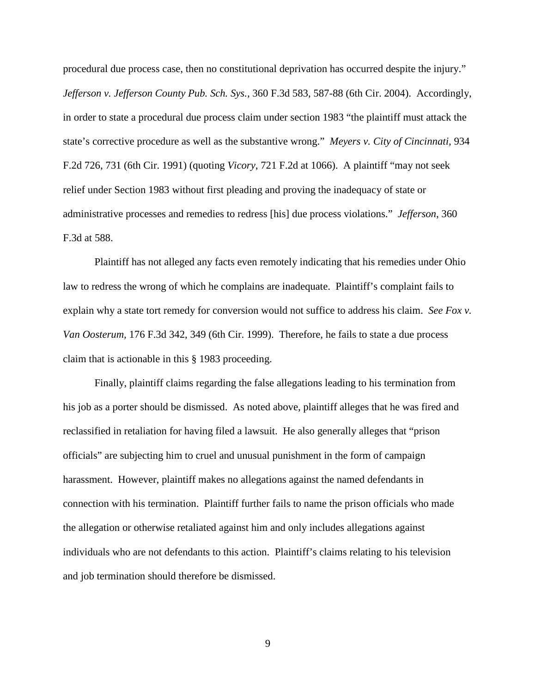procedural due process case, then no constitutional deprivation has occurred despite the injury." *Jefferson v. Jefferson County Pub. Sch. Sys.,* 360 F.3d 583, 587-88 (6th Cir. 2004). Accordingly, in order to state a procedural due process claim under section 1983 "the plaintiff must attack the state's corrective procedure as well as the substantive wrong." *Meyers v. City of Cincinnati*, 934 F.2d 726, 731 (6th Cir. 1991) (quoting *Vicory*, 721 F.2d at 1066). A plaintiff "may not seek relief under Section 1983 without first pleading and proving the inadequacy of state or administrative processes and remedies to redress [his] due process violations." *Jefferson*, 360 F.3d at 588.

Plaintiff has not alleged any facts even remotely indicating that his remedies under Ohio law to redress the wrong of which he complains are inadequate. Plaintiff's complaint fails to explain why a state tort remedy for conversion would not suffice to address his claim. *See Fox v. Van Oosterum,* 176 F.3d 342, 349 (6th Cir. 1999). Therefore, he fails to state a due process claim that is actionable in this § 1983 proceeding.

Finally, plaintiff claims regarding the false allegations leading to his termination from his job as a porter should be dismissed. As noted above, plaintiff alleges that he was fired and reclassified in retaliation for having filed a lawsuit. He also generally alleges that "prison officials" are subjecting him to cruel and unusual punishment in the form of campaign harassment. However, plaintiff makes no allegations against the named defendants in connection with his termination. Plaintiff further fails to name the prison officials who made the allegation or otherwise retaliated against him and only includes allegations against individuals who are not defendants to this action. Plaintiff's claims relating to his television and job termination should therefore be dismissed.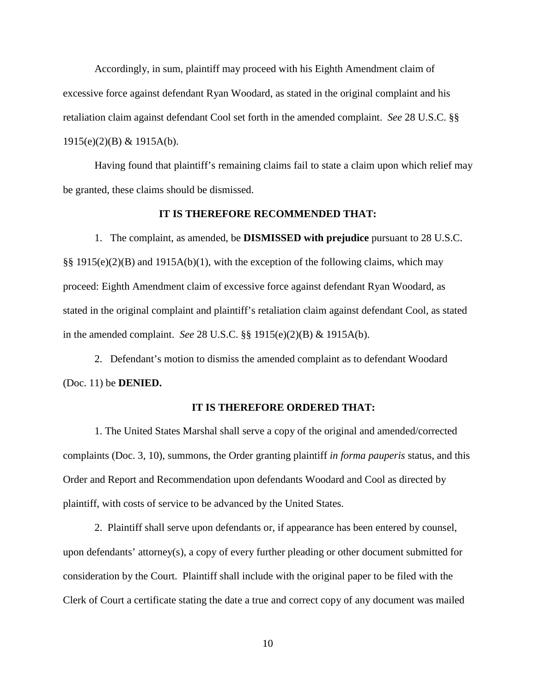Accordingly, in sum, plaintiff may proceed with his Eighth Amendment claim of excessive force against defendant Ryan Woodard, as stated in the original complaint and his retaliation claim against defendant Cool set forth in the amended complaint. *See* 28 U.S.C. §§ 1915(e)(2)(B) & 1915A(b).

Having found that plaintiff's remaining claims fail to state a claim upon which relief may be granted, these claims should be dismissed.

#### **IT IS THEREFORE RECOMMENDED THAT:**

1. The complaint, as amended, be **DISMISSED with prejudice** pursuant to 28 U.S.C. §§ 1915(e)(2)(B) and 1915A(b)(1), with the exception of the following claims, which may proceed: Eighth Amendment claim of excessive force against defendant Ryan Woodard, as stated in the original complaint and plaintiff's retaliation claim against defendant Cool, as stated in the amended complaint. *See* 28 U.S.C. §§ 1915(e)(2)(B) & 1915A(b).

2. Defendant's motion to dismiss the amended complaint as to defendant Woodard (Doc. 11) be **DENIED.** 

#### **IT IS THEREFORE ORDERED THAT:**

1. The United States Marshal shall serve a copy of the original and amended/corrected complaints (Doc. 3, 10), summons, the Order granting plaintiff *in forma pauperis* status, and this Order and Report and Recommendation upon defendants Woodard and Cool as directed by plaintiff, with costs of service to be advanced by the United States.

2. Plaintiff shall serve upon defendants or, if appearance has been entered by counsel, upon defendants' attorney(s), a copy of every further pleading or other document submitted for consideration by the Court. Plaintiff shall include with the original paper to be filed with the Clerk of Court a certificate stating the date a true and correct copy of any document was mailed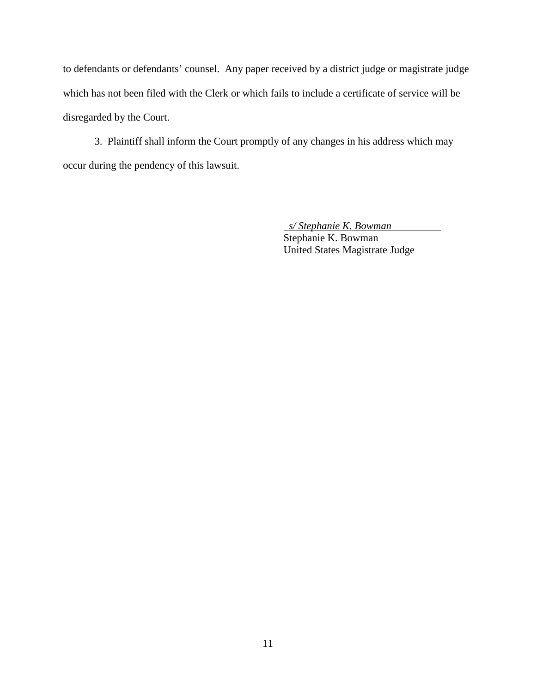to defendants or defendants' counsel. Any paper received by a district judge or magistrate judge which has not been filed with the Clerk or which fails to include a certificate of service will be disregarded by the Court.

3. Plaintiff shall inform the Court promptly of any changes in his address which may occur during the pendency of this lawsuit.

> *s/ Stephanie K. Bowman*  Stephanie K. Bowman United States Magistrate Judge